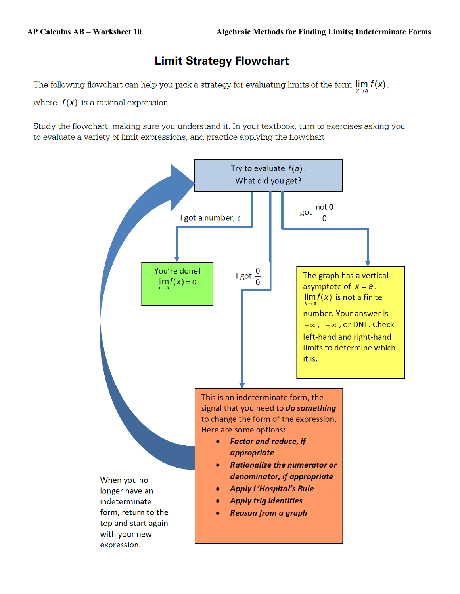## **Limit Strategy Flowchart**

The following flowchart can help you pick a strategy for evaluating limits of the form  $\lim_{x \to a} f(x)$ .

where  $f(x)$  is a rational expression.

Study the flowchart, making sure you understand it. In your textbook, turn to exercises asking you to evaluate a variety of limit expressions, and practice applying the flowchart.